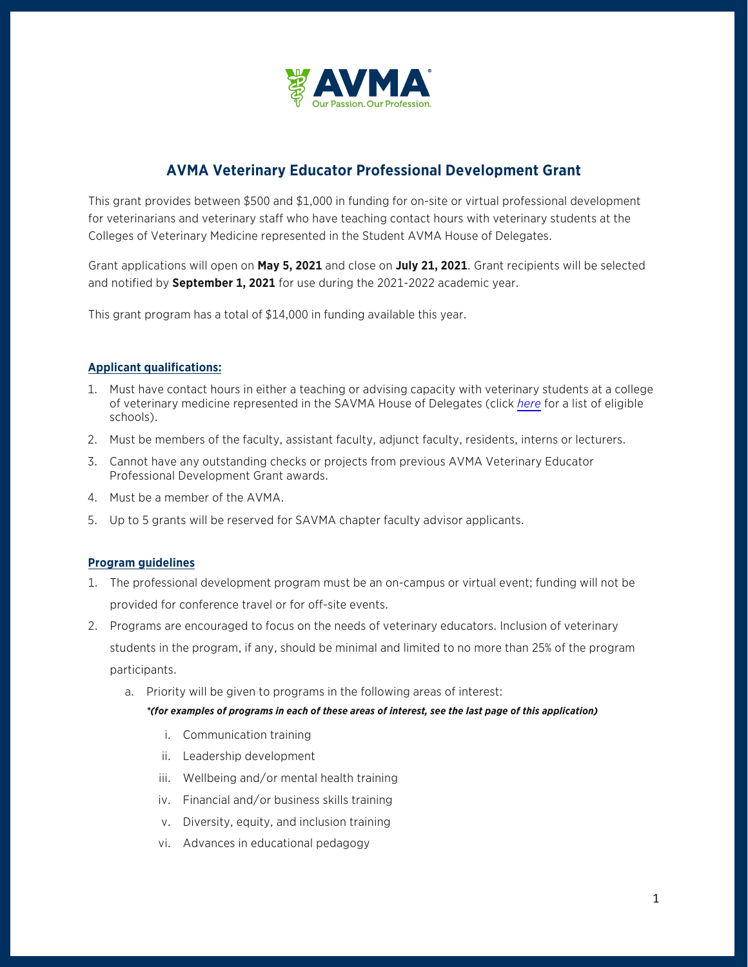

# **AVMA Veterinary Educator Professional Development Grant**

This grant provides between \$500 and \$1,000 in funding for on-site or virtual professional development for veterinarians and veterinary staff who have teaching contact hours with veterinary students at the Colleges of Veterinary Medicine represented in the Student AVMA House of Delegates.

Grant applications will open on **May 5, 2021** and close on **July 21, 2021**. Grant recipients will be selected and notified by **September 1, 2021** for use during the 2021-2022 academic year.

This grant program has a total of \$14,000 in funding available this year.

## **Applicant qualifications:**

- 1. Must have contact hours in either a teaching or advising capacity with veterinary students at a college of veterinary medicine represented in the SAVMA House of Delegates (click *[here](https://www.avma.org/membership/SAVMA/SAVMA-chapter-program)* for a list of eligible schools).
- 2. Must be members of the faculty, assistant faculty, adjunct faculty, residents, interns or lecturers.
- 3. Cannot have any outstanding checks or projects from previous AVMA Veterinary Educator Professional Development Grant awards.
- 4. Must be a member of the AVMA.
- 5. Up to 5 grants will be reserved for SAVMA chapter faculty advisor applicants.

#### **Program guidelines**

- 1. The professional development program must be an on-campus or virtual event; funding will not be provided for conference travel or for off-site events.
- 2. Programs are encouraged to focus on the needs of veterinary educators. Inclusion of veterinary students in the program, if any, should be minimal and limited to no more than 25% of the program participants.
	- a. Priority will be given to programs in the following areas of interest:

#### *\*(for examples of programs in each of these areas of interest, see the last page of this application)*

- i. Communication training
- ii. Leadership development
- iii. Wellbeing and/or mental health training
- iv. Financial and/or business skills training
- v. Diversity, equity, and inclusion training
- vi. Advances in educational pedagogy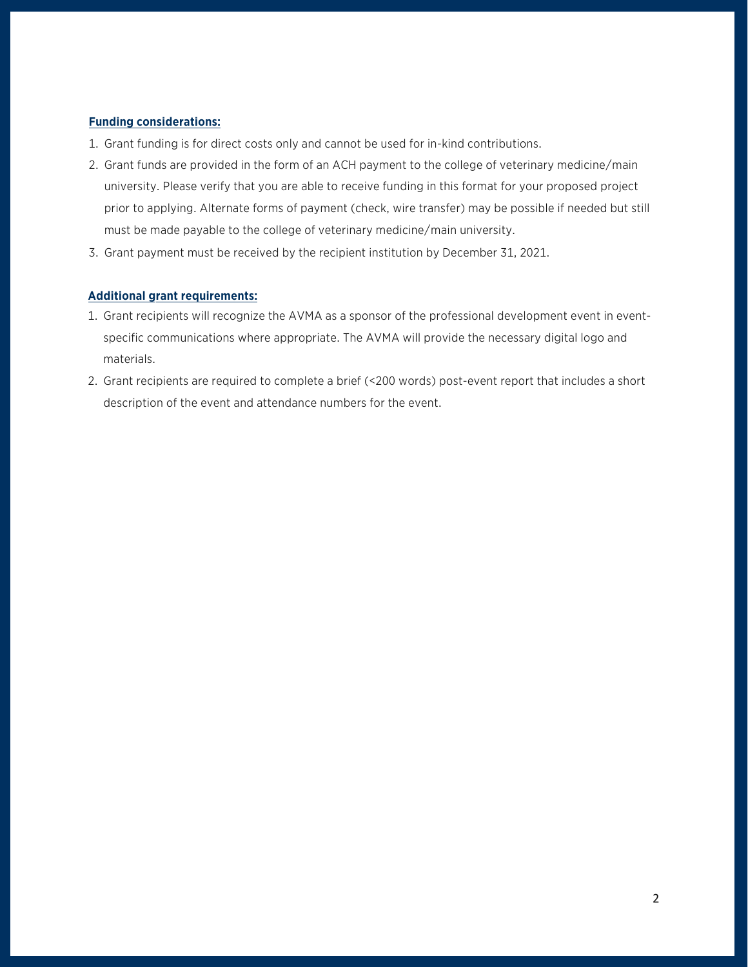### **Funding considerations:**

- 1. Grant funding is for direct costs only and cannot be used for in-kind contributions.
- 2. Grant funds are provided in the form of an ACH payment to the college of veterinary medicine/main university. Please verify that you are able to receive funding in this format for your proposed project prior to applying. Alternate forms of payment (check, wire transfer) may be possible if needed but still must be made payable to the college of veterinary medicine/main university.
- 3. Grant payment must be received by the recipient institution by December 31, 2021.

## **Additional grant requirements:**

- 1. Grant recipients will recognize the AVMA as a sponsor of the professional development event in eventspecific communications where appropriate. The AVMA will provide the necessary digital logo and materials.
- 2. Grant recipients are required to complete a brief (<200 words) post-event report that includes a short description of the event and attendance numbers for the event.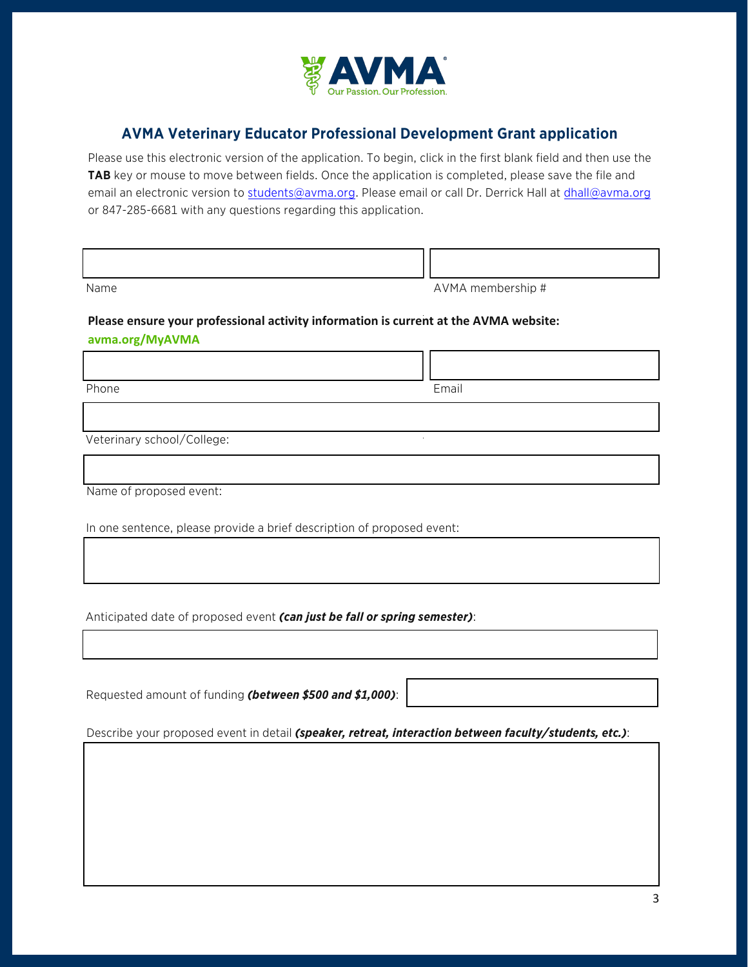

# **AVMA Veterinary Educator Professional Development Grant application**

Please use this electronic version of the application. To begin, click in the first blank field and then use the TAB key or mouse to move between fields. Once the application is completed, please save the file and email an electronic version to students@avma.org. Please email or call Dr. Derrick Hall at dhall@avma.org or 847-285-6681 with any questions regarding this application.

| Name | AVMA membership # |
|------|-------------------|

# **Please ensure your professional activity information is current at the AVMA website:**

## **avma.org/MyAVMA**

Phone **Email** 

Veterinary school/College:

Name of proposed event:

In one sentence, please provide a brief description of proposed event:

Anticipated date of proposed event *(can just be fall or spring semester)*:

Requested amount of funding *(between \$500 and \$1,000)*:

Describe your proposed event in detail *(speaker, retreat, interaction between faculty/students, etc.)*: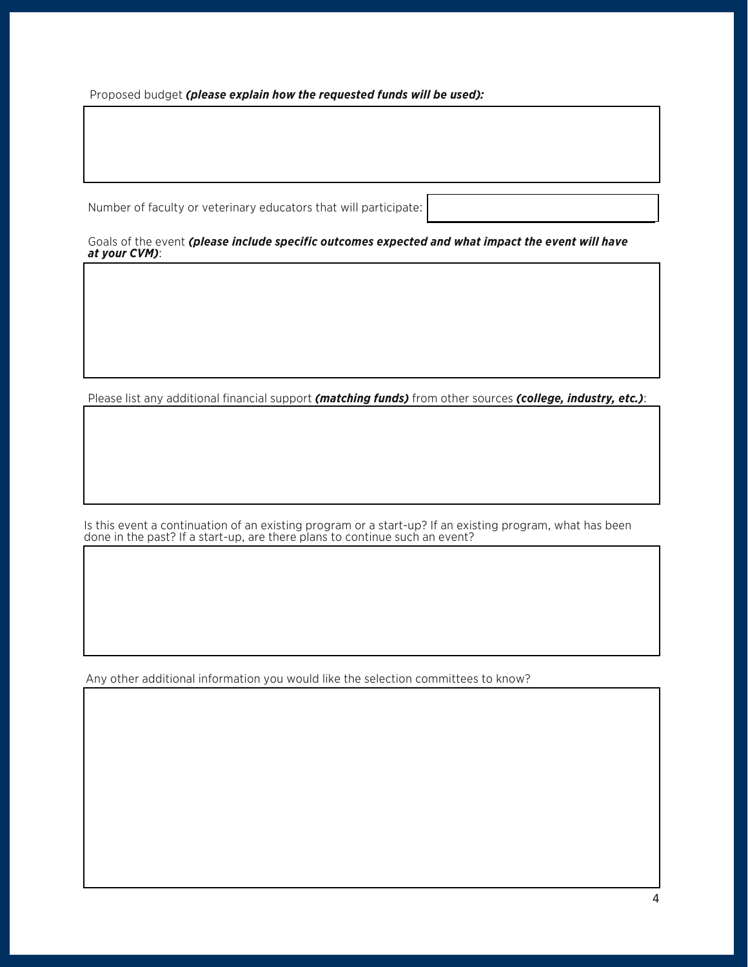Proposed budget *(please explain how the requested funds will be used):*

Number of faculty or veterinary educators that will participate:

Goals of the event *(please include specific outcomes expected and what impact the event will have at your CVM)*:

Please list any additional financial support *(matching funds)* from other sources *(college, industry, etc.)*:

Is this event a continuation of an existing program or a start-up? If an existing program, what has been done in the past? If a start-up, are there plans to continue such an event?

Any other additional information you would like the selection committees to know?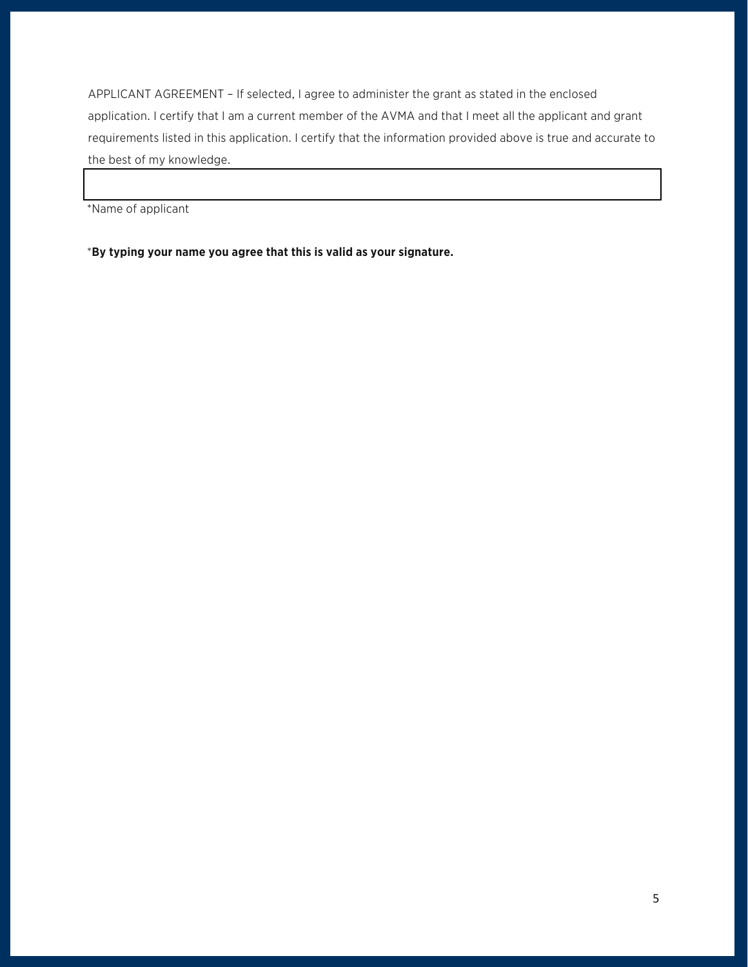APPLICANT AGREEMENT – If selected, I agree to administer the grant as stated in the enclosed application. I certify that I am a current member of the AVMA and that I meet all the applicant and grant requirements listed in this application. I certify that the information provided above is true and accurate to the best of my knowledge.

\*Name of applicant

\***By typing your name you agree that this is valid as your signature.**